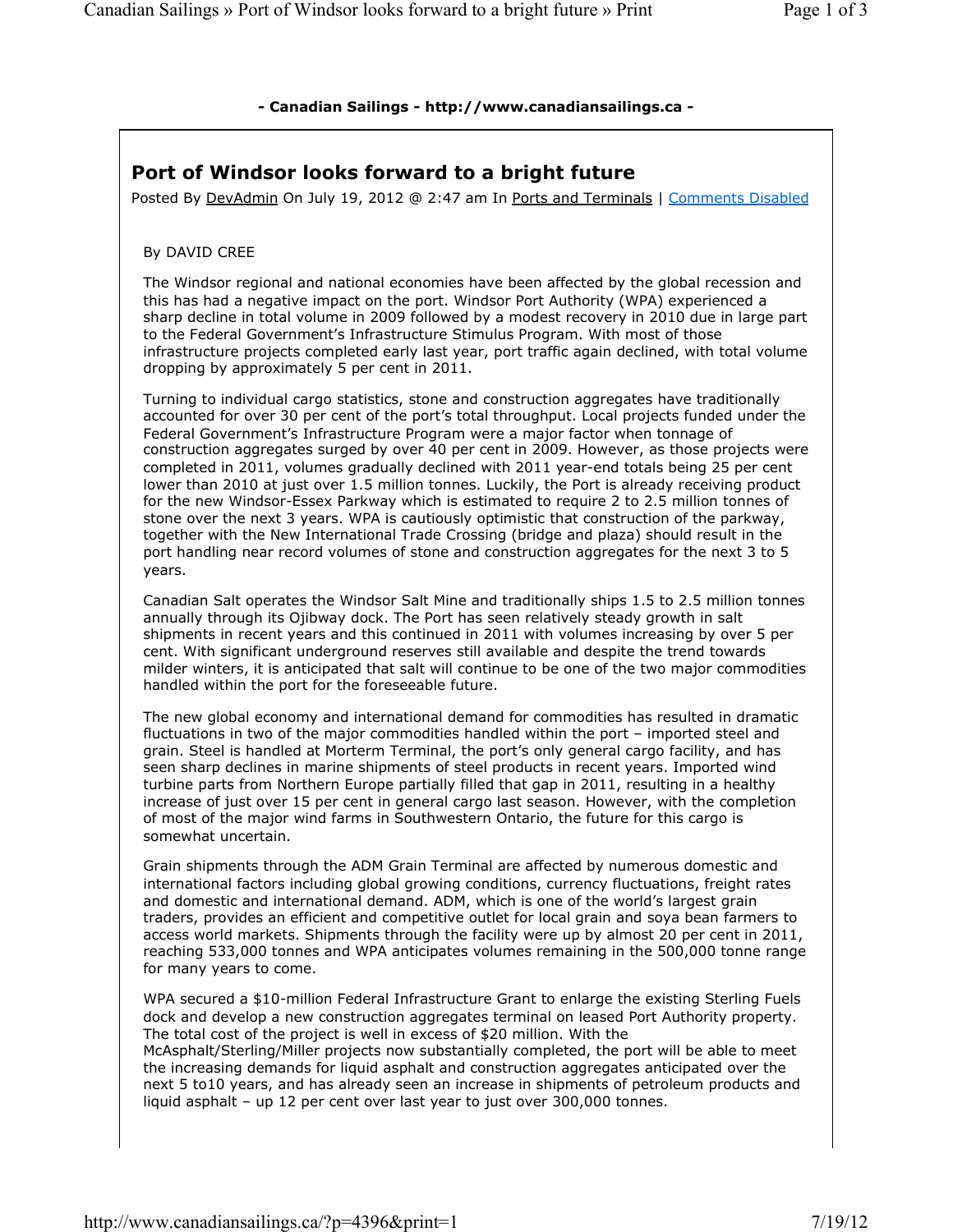## - Canadian Sailings - http://www.canadiansailings.ca -

## Port of Windsor looks forward to a bright future

Posted By DevAdmin On July 19, 2012 @ 2:47 am In Ports and Terminals | Comments Disabled

## By DAVID CREE

The Windsor regional and national economies have been affected by the global recession and this has had a negative impact on the port. Windsor Port Authority (WPA) experienced a sharp decline in total volume in 2009 followed by a modest recovery in 2010 due in large part to the Federal Government's Infrastructure Stimulus Program. With most of those infrastructure projects completed early last year, port traffic again declined, with total volume dropping by approximately 5 per cent in 2011.

Turning to individual cargo statistics, stone and construction aggregates have traditionally accounted for over 30 per cent of the port's total throughput. Local projects funded under the Federal Government's Infrastructure Program were a major factor when tonnage of construction aggregates surged by over 40 per cent in 2009. However, as those projects were completed in 2011, volumes gradually declined with 2011 year-end totals being 25 per cent lower than 2010 at just over 1.5 million tonnes. Luckily, the Port is already receiving product for the new Windsor-Essex Parkway which is estimated to require 2 to 2.5 million tonnes of stone over the next 3 years. WPA is cautiously optimistic that construction of the parkway, together with the New International Trade Crossing (bridge and plaza) should result in the port handling near record volumes of stone and construction aggregates for the next 3 to 5 years.

Canadian Salt operates the Windsor Salt Mine and traditionally ships 1.5 to 2.5 million tonnes annually through its Ojibway dock. The Port has seen relatively steady growth in salt shipments in recent years and this continued in 2011 with volumes increasing by over 5 per cent. With significant underground reserves still available and despite the trend towards milder winters, it is anticipated that salt will continue to be one of the two major commodities handled within the port for the foreseeable future.

The new global economy and international demand for commodities has resulted in dramatic fluctuations in two of the major commodities handled within the port – imported steel and grain. Steel is handled at Morterm Terminal, the port's only general cargo facility, and has seen sharp declines in marine shipments of steel products in recent years. Imported wind turbine parts from Northern Europe partially filled that gap in 2011, resulting in a healthy increase of just over 15 per cent in general cargo last season. However, with the completion of most of the major wind farms in Southwestern Ontario, the future for this cargo is somewhat uncertain.

Grain shipments through the ADM Grain Terminal are affected by numerous domestic and international factors including global growing conditions, currency fluctuations, freight rates and domestic and international demand. ADM, which is one of the world's largest grain traders, provides an efficient and competitive outlet for local grain and soya bean farmers to access world markets. Shipments through the facility were up by almost 20 per cent in 2011, reaching 533,000 tonnes and WPA anticipates volumes remaining in the 500,000 tonne range for many years to come.

WPA secured a \$10-million Federal Infrastructure Grant to enlarge the existing Sterling Fuels dock and develop a new construction aggregates terminal on leased Port Authority property. The total cost of the project is well in excess of \$20 million. With the

McAsphalt/Sterling/Miller projects now substantially completed, the port will be able to meet the increasing demands for liquid asphalt and construction aggregates anticipated over the next 5 to10 years, and has already seen an increase in shipments of petroleum products and liquid asphalt – up 12 per cent over last year to just over 300,000 tonnes.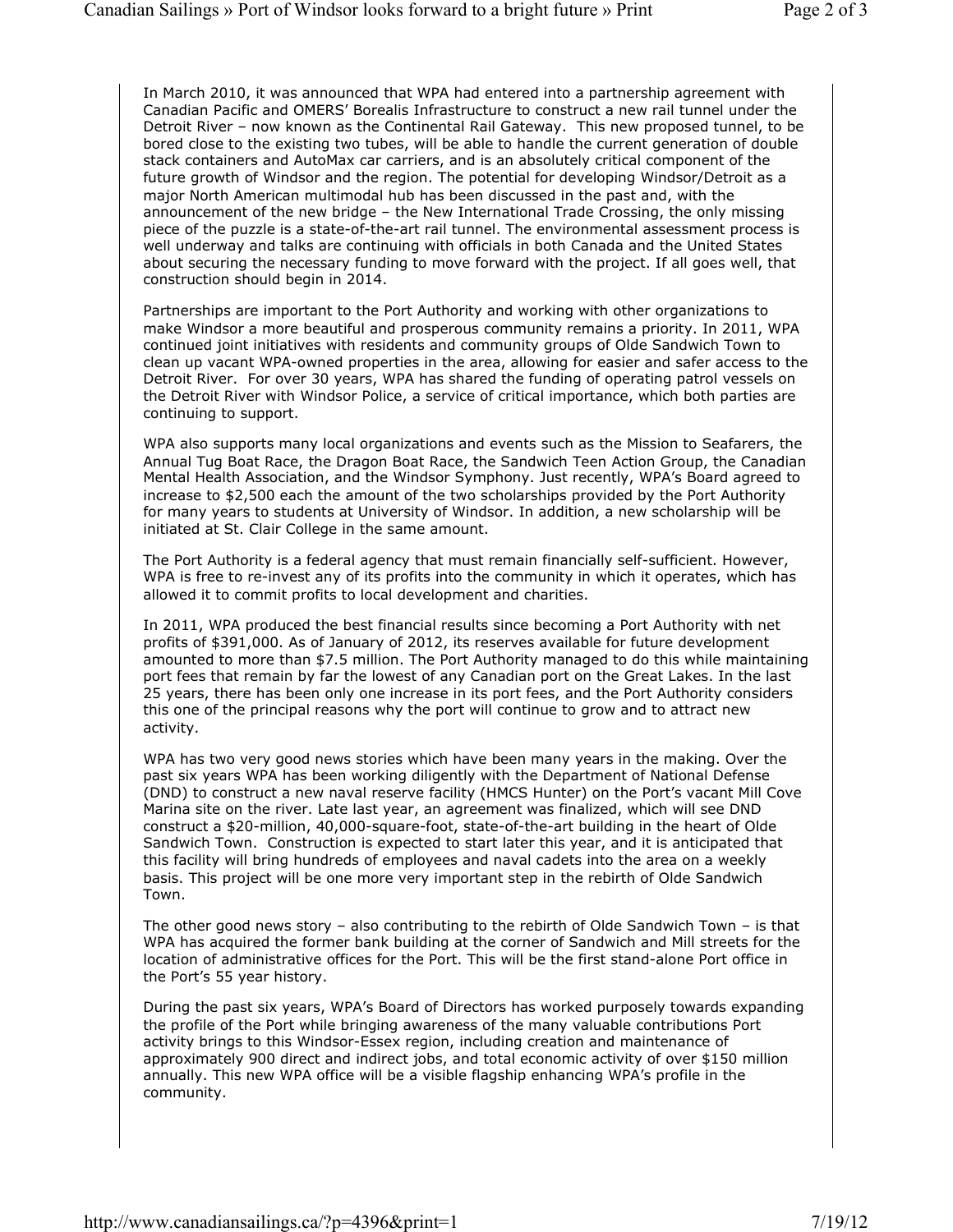In March 2010, it was announced that WPA had entered into a partnership agreement with Canadian Pacific and OMERS' Borealis Infrastructure to construct a new rail tunnel under the Detroit River – now known as the Continental Rail Gateway. This new proposed tunnel, to be bored close to the existing two tubes, will be able to handle the current generation of double stack containers and AutoMax car carriers, and is an absolutely critical component of the future growth of Windsor and the region. The potential for developing Windsor/Detroit as a major North American multimodal hub has been discussed in the past and, with the announcement of the new bridge – the New International Trade Crossing, the only missing piece of the puzzle is a state-of-the-art rail tunnel. The environmental assessment process is well underway and talks are continuing with officials in both Canada and the United States about securing the necessary funding to move forward with the project. If all goes well, that construction should begin in 2014.

Partnerships are important to the Port Authority and working with other organizations to make Windsor a more beautiful and prosperous community remains a priority. In 2011, WPA continued joint initiatives with residents and community groups of Olde Sandwich Town to clean up vacant WPA-owned properties in the area, allowing for easier and safer access to the Detroit River. For over 30 years, WPA has shared the funding of operating patrol vessels on the Detroit River with Windsor Police, a service of critical importance, which both parties are continuing to support.

WPA also supports many local organizations and events such as the Mission to Seafarers, the Annual Tug Boat Race, the Dragon Boat Race, the Sandwich Teen Action Group, the Canadian Mental Health Association, and the Windsor Symphony. Just recently, WPA's Board agreed to increase to \$2,500 each the amount of the two scholarships provided by the Port Authority for many years to students at University of Windsor. In addition, a new scholarship will be initiated at St. Clair College in the same amount.

The Port Authority is a federal agency that must remain financially self-sufficient. However, WPA is free to re-invest any of its profits into the community in which it operates, which has allowed it to commit profits to local development and charities.

In 2011, WPA produced the best financial results since becoming a Port Authority with net profits of \$391,000. As of January of 2012, its reserves available for future development amounted to more than \$7.5 million. The Port Authority managed to do this while maintaining port fees that remain by far the lowest of any Canadian port on the Great Lakes. In the last 25 years, there has been only one increase in its port fees, and the Port Authority considers this one of the principal reasons why the port will continue to grow and to attract new activity.

WPA has two very good news stories which have been many years in the making. Over the past six years WPA has been working diligently with the Department of National Defense (DND) to construct a new naval reserve facility (HMCS Hunter) on the Port's vacant Mill Cove Marina site on the river. Late last year, an agreement was finalized, which will see DND construct a \$20-million, 40,000-square-foot, state-of-the-art building in the heart of Olde Sandwich Town. Construction is expected to start later this year, and it is anticipated that this facility will bring hundreds of employees and naval cadets into the area on a weekly basis. This project will be one more very important step in the rebirth of Olde Sandwich Town.

The other good news story – also contributing to the rebirth of Olde Sandwich Town – is that WPA has acquired the former bank building at the corner of Sandwich and Mill streets for the location of administrative offices for the Port. This will be the first stand-alone Port office in the Port's 55 year history.

During the past six years, WPA's Board of Directors has worked purposely towards expanding the profile of the Port while bringing awareness of the many valuable contributions Port activity brings to this Windsor-Essex region, including creation and maintenance of approximately 900 direct and indirect jobs, and total economic activity of over \$150 million annually. This new WPA office will be a visible flagship enhancing WPA's profile in the community.